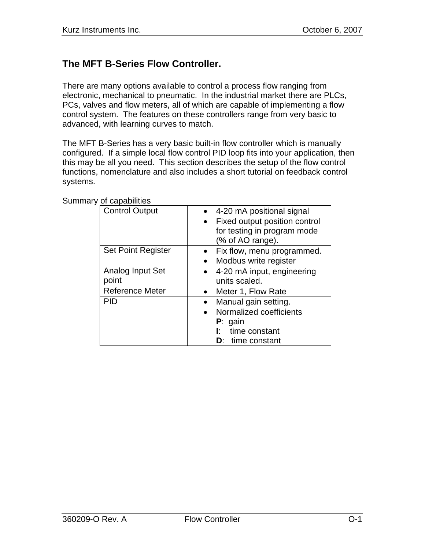## **The MFT B-Series Flow Controller.**

There are many options available to control a process flow ranging from electronic, mechanical to pneumatic. In the industrial market there are PLCs, PCs, valves and flow meters, all of which are capable of implementing a flow control system. The features on these controllers range from very basic to advanced, with learning curves to match.

The MFT B-Series has a very basic built-in flow controller which is manually configured. If a simple local flow control PID loop fits into your application, then this may be all you need. This section describes the setup of the flow control functions, nomenclature and also includes a short tutorial on feedback control systems.

| <b>Control Output</b>     | 4-20 mA positional signal     |
|---------------------------|-------------------------------|
|                           | Fixed output position control |
|                           | for testing in program mode   |
|                           | (% of AO range).              |
| <b>Set Point Register</b> | Fix flow, menu programmed.    |
|                           | Modbus write register         |
| Analog Input Set          | 4-20 mA input, engineering    |
| point                     | units scaled.                 |
| <b>Reference Meter</b>    | Meter 1, Flow Rate            |
| PID                       | Manual gain setting.          |
|                           | Normalized coefficients       |
|                           | $P:$ gain                     |
|                           | time constant<br>Ŀ.           |
|                           | <b>D:</b> time constant       |

Summary of capabilities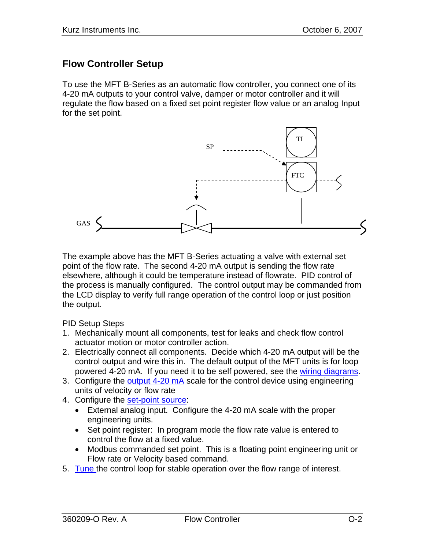### **Flow Controller Setup**

To use the MFT B-Series as an automatic flow controller, you connect one of its 4-20 mA outputs to your control valve, damper or motor controller and it will regulate the flow based on a fixed set point register flow value or an analog Input for the set point.



The example above has the MFT B-Series actuating a valve with external set point of the flow rate. The second 4-20 mA output is sending the flow rate elsewhere, although it could be temperature instead of flowrate. PID control of the process is manually configured. The control output may be commanded from the LCD display to verify full range operation of the control loop or just position the output.

PID Setup Steps

- 1. Mechanically mount all components, test for leaks and check flow control actuator motion or motor controller action.
- 2. Electrically connect all components. Decide which 4-20 mA output will be the control output and wire this in. The default output of the MFT units is for loop powered 4-20 mA. If you need it to be self powered, see the wiring diagrams.
- 3. Configure the [output 4-20 mA](#page-4-0) scale for the control device using engineering units of velocity or flow rate
- 4. Configure the [set-point source:](#page-5-0)
	- External analog input. Configure the 4-20 mA scale with the proper engineering units.
	- Set point register: In program mode the flow rate value is entered to control the flow at a fixed value.
	- Modbus commanded set point. This is a floating point engineering unit or Flow rate or Velocity based command.
- 5. [Tune t](#page-9-0)he control loop for stable operation over the flow range of interest.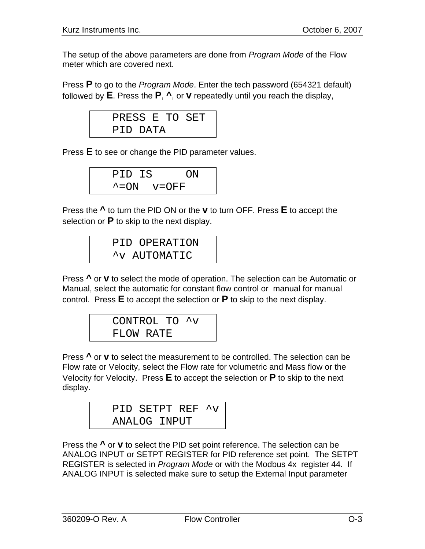The setup of the above parameters are done from *Program Mode* of the Flow meter which are covered next.

Press **P** to go to the *Program Mode*. Enter the tech password (654321 default) followed by **E**. Press the **P**, **^**, or **v** repeatedly until you reach the display,

| PRESS E TO SET |  |  |
|----------------|--|--|
| PID DATA       |  |  |

Press **E** to see or change the PID parameter values.

| PID IS |                           | ΟN |
|--------|---------------------------|----|
|        | $\textdegree$ = ON v= OFF |    |

Press the **^** to turn the PID ON or the **v** to turn OFF. Press **E** to accept the selection or **P** to skip to the next display.

PID OPERATION ^v AUTOMATIC

Press **^** or **v** to select the mode of operation. The selection can be Automatic or Manual, select the automatic for constant flow control or manual for manual control. Press **E** to accept the selection or **P** to skip to the next display.

CONTROL TO ^v FLOW RATE

Press **^** or **v** to select the measurement to be controlled. The selection can be Flow rate or Velocity, select the Flow rate for volumetric and Mass flow or the Velocity for Velocity. Press **E** to accept the selection or **P** to skip to the next display.

> PID SETPT REF ^v ANALOG INPUT

Press the **^** or **v** to select the PID set point reference. The selection can be ANALOG INPUT or SETPT REGISTER for PID reference set point. The SETPT REGISTER is selected in *Program Mode* or with the Modbus 4x register 44. If ANALOG INPUT is selected make sure to setup the External Input parameter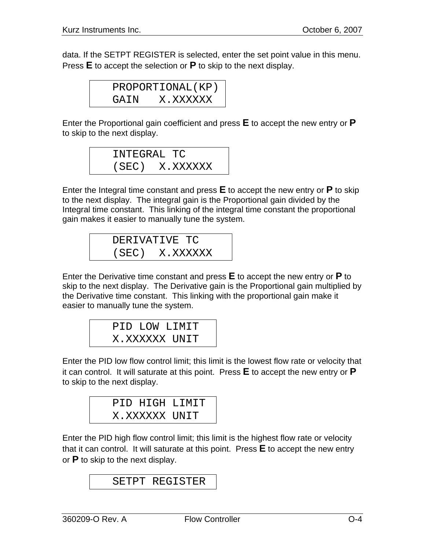data. If the SETPT REGISTER is selected, enter the set point value in this menu. Press **E** to accept the selection or **P** to skip to the next display.

|      | PROPORTIONAL (KP) |
|------|-------------------|
| GAIN | X.XXXXXX          |

Enter the Proportional gain coefficient and press **E** to accept the new entry or **P** to skip to the next display.

$$
\begin{array}{ll} {\tt INTEGRAL} & {\tt TC} \\ {\tt (SEC)} & {\tt X. XXXXXX} \end{array}
$$

Enter the Integral time constant and press **E** to accept the new entry or **P** to skip to the next display. The integral gain is the Proportional gain divided by the Integral time constant. This linking of the integral time constant the proportional gain makes it easier to manually tune the system.

DERIVATIVE TC (SEC) X.XXXXXX

Enter the Derivative time constant and press **E** to accept the new entry or **P** to skip to the next display. The Derivative gain is the Proportional gain multiplied by the Derivative time constant. This linking with the proportional gain make it easier to manually tune the system.

PID LOW LIMIT X.XXXXXX UNIT

Enter the PID low flow control limit; this limit is the lowest flow rate or velocity that it can control. It will saturate at this point. Press **E** to accept the new entry or **P** to skip to the next display.

|               | PID HIGH LIMIT |
|---------------|----------------|
| X.XXXXXX UNIT |                |

Enter the PID high flow control limit; this limit is the highest flow rate or velocity that it can control. It will saturate at this point. Press **E** to accept the new entry or **P** to skip to the next display.

```
SETPT REGISTER
```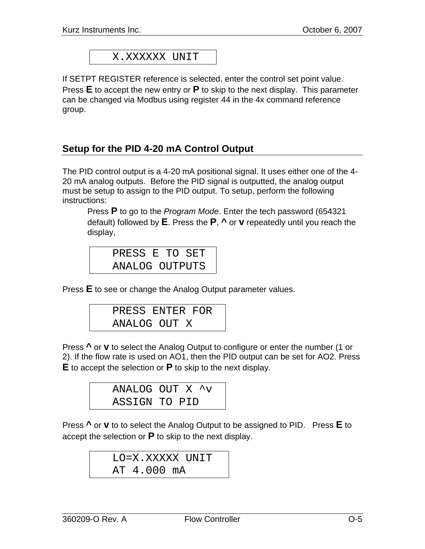X.XXXXXX UNIT

<span id="page-4-0"></span>If SETPT REGISTER reference is selected, enter the control set point value. Press **E** to accept the new entry or **P** to skip to the next display. This parameter can be changed via Modbus using register 44 in the 4x command reference group.

### **Setup for the PID 4-20 mA Control Output**

The PID control output is a 4-20 mA positional signal. It uses either one of the 4- 20 mA analog outputs. Before the PID signal is outputted, the analog output must be setup to assign to the PID output. To setup, perform the following instructions:

Press **P** to go to the *Program Mode*. Enter the tech password (654321 default) followed by **E**. Press the **P**, **^** or **v** repeatedly until you reach the display,

| PRESS E TO SET |  |  |
|----------------|--|--|
| ANALOG OUTPUTS |  |  |

Press **E** to see or change the Analog Output parameter values.

| PRESS ENTER FOR |  |
|-----------------|--|
| ANALOG OUT X    |  |

Press **^** or **v** to select the Analog Output to configure or enter the number (1 or 2). If the flow rate is used on AO1, then the PID output can be set for AO2. Press **E** to accept the selection or **P** to skip to the next display.

|               | ANALOG OUT X ^v |
|---------------|-----------------|
| ASSIGN TO PID |                 |

Press **^** or **v** to to select the Analog Output to be assigned to PID. Press **E** to accept the selection or **P** to skip to the next display.

```
LO=X.XXXXX UNIT 
AT 4.000 mA
```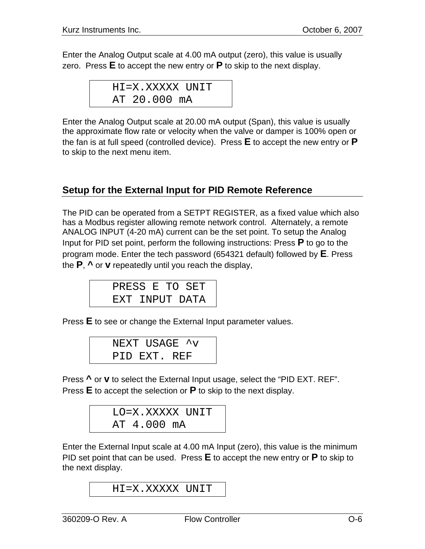<span id="page-5-0"></span>Enter the Analog Output scale at 4.00 mA output (zero), this value is usually zero. Press **E** to accept the new entry or **P** to skip to the next display.

$$
\tt HI=X.XXXXX~UNIT\\ \tt AT~20.000~mA
$$

Enter the Analog Output scale at 20.00 mA output (Span), this value is usually the approximate flow rate or velocity when the valve or damper is 100% open or the fan is at full speed (controlled device). Press **E** to accept the new entry or **P** to skip to the next menu item.

## **Setup for the External Input for PID Remote Reference**

The PID can be operated from a SETPT REGISTER, as a fixed value which also has a Modbus register allowing remote network control. Alternately, a remote ANALOG INPUT (4-20 mA) current can be the set point. To setup the Analog Input for PID set point, perform the following instructions: Press **P** to go to the program mode. Enter the tech password (654321 default) followed by **E**. Press the **P**, **^** or **v** repeatedly until you reach the display,

|  |  | PRESS E TO SET |  |
|--|--|----------------|--|
|  |  | EXT INPUT DATA |  |

Press **E** to see or change the External Input parameter values.

|              | NEXT USAGE ^v |  |
|--------------|---------------|--|
| PID EXT. REF |               |  |

Press **^** or **v** to select the External Input usage, select the "PID EXT. REF". Press **E** to accept the selection or **P** to skip to the next display.

|             | LO=X.XXXXX UNIT |
|-------------|-----------------|
| AT 4.000 mA |                 |

Enter the External Input scale at 4.00 mA Input (zero), this value is the minimum PID set point that can be used. Press **E** to accept the new entry or **P** to skip to the next display.

```
HI=X.XXXXX UNIT
```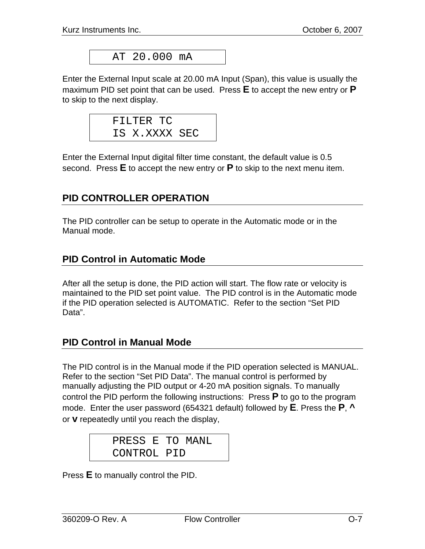AT 20.000 mA

Enter the External Input scale at 20.00 mA Input (Span), this value is usually the maximum PID set point that can be used. Press **E** to accept the new entry or **P** to skip to the next display.



Enter the External Input digital filter time constant, the default value is 0.5 second. Press **E** to accept the new entry or **P** to skip to the next menu item.

### **PID CONTROLLER OPERATION**

The PID controller can be setup to operate in the Automatic mode or in the Manual mode.

### **PID Control in Automatic Mode**

After all the setup is done, the PID action will start. The flow rate or velocity is maintained to the PID set point value. The PID control is in the Automatic mode if the PID operation selected is AUTOMATIC. Refer to the section "Set PID Data".

#### **PID Control in Manual Mode**

The PID control is in the Manual mode if the PID operation selected is MANUAL. Refer to the section "Set PID Data". The manual control is performed by manually adjusting the PID output or 4-20 mA position signals. To manually control the PID perform the following instructions: Press **P** to go to the program mode. Enter the user password (654321 default) followed by **E**. Press the **P**, **^** or **v** repeatedly until you reach the display,

> PRESS E TO MANL CONTROL PID

Press **E** to manually control the PID.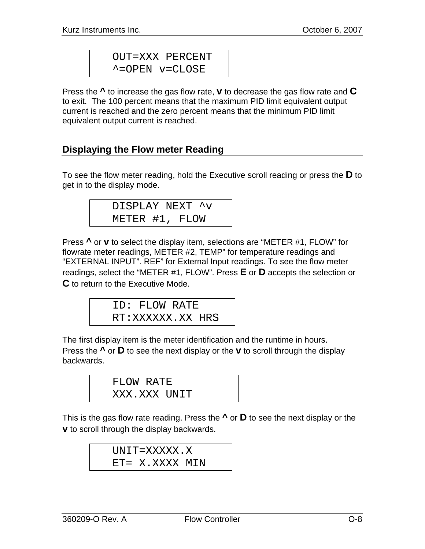OUT=XXX PERCENT ^=OPEN v=CLOSE

Press the **^** to increase the gas flow rate, **v** to decrease the gas flow rate and **C** to exit. The 100 percent means that the maximum PID limit equivalent output current is reached and the zero percent means that the minimum PID limit equivalent output current is reached.

## **Displaying the Flow meter Reading**

To see the flow meter reading, hold the Executive scroll reading or press the **D** to get in to the display mode.

|                | DISPLAY NEXT ^v |
|----------------|-----------------|
| METER #1, FLOW |                 |

Press **^** or **v** to select the display item, selections are "METER #1, FLOW" for flowrate meter readings, METER #2, TEMP" for temperature readings and "EXTERNAL INPUT". REF" for External Input readings. To see the flow meter readings, select the "METER #1, FLOW". Press **E** or **D** accepts the selection or **C** to return to the Executive Mode.

ID: FLOW RATE RT:XXXXXX.XX HRS

The first display item is the meter identification and the runtime in hours. Press the **^** or **D** to see the next display or the **v** to scroll through the display backwards.

| FLOW RATE    |  |
|--------------|--|
| XXX.XXX UNIT |  |

This is the gas flow rate reading. Press the **^** or **D** to see the next display or the **v** to scroll through the display backwards.

> UNIT=XXXXX.X ET= X.XXXX MIN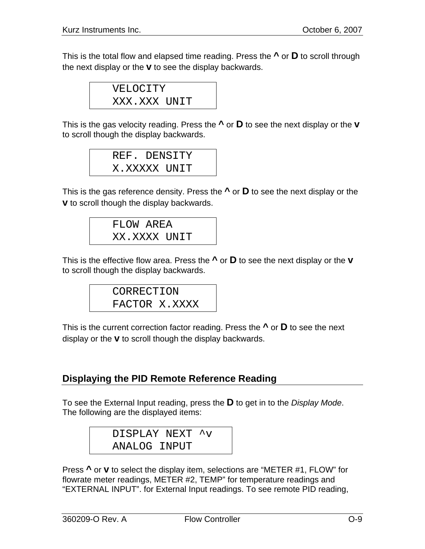This is the total flow and elapsed time reading. Press the **^** or **D** to scroll through the next display or the **v** to see the display backwards.

> VELOCITY XXX.XXX UNIT

This is the gas velocity reading. Press the **^** or **D** to see the next display or the **v** to scroll though the display backwards.

> REF. DENSITY X.XXXXX UNIT

This is the gas reference density. Press the **^** or **D** to see the next display or the **v** to scroll though the display backwards.

FLOW AREA XX.XXXX UNIT

This is the effective flow area. Press the **^** or **D** to see the next display or the **v** to scroll though the display backwards.

> CORRECTION FACTOR X.XXXX

This is the current correction factor reading. Press the **^** or **D** to see the next display or the **v** to scroll though the display backwards.

## **Displaying the PID Remote Reference Reading**

To see the External Input reading, press the **D** to get in to the *Display Mode*. The following are the displayed items:

> DISPLAY NEXT ^v ANALOG INPUT

Press **^** or **v** to select the display item, selections are "METER #1, FLOW" for flowrate meter readings, METER #2, TEMP" for temperature readings and "EXTERNAL INPUT". for External Input readings. To see remote PID reading,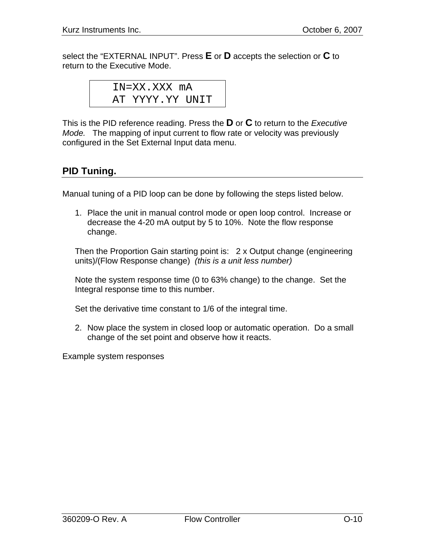<span id="page-9-0"></span>select the "EXTERNAL INPUT". Press **E** or **D** accepts the selection or **C** to return to the Executive Mode.

IN=XX.XXX mA AT YYYY.YY UNIT

This is the PID reference reading. Press the **D** or **C** to return to the *Executive Mode.* The mapping of input current to flow rate or velocity was previously configured in the Set External Input data menu.

# **PID Tuning.**

Manual tuning of a PID loop can be done by following the steps listed below.

1. Place the unit in manual control mode or open loop control. Increase or decrease the 4-20 mA output by 5 to 10%. Note the flow response change.

Then the Proportion Gain starting point is: 2 x Output change (engineering units)/(Flow Response change) *(this is a unit less number)* 

Note the system response time (0 to 63% change) to the change. Set the Integral response time to this number.

Set the derivative time constant to 1/6 of the integral time.

2. Now place the system in closed loop or automatic operation. Do a small change of the set point and observe how it reacts.

Example system responses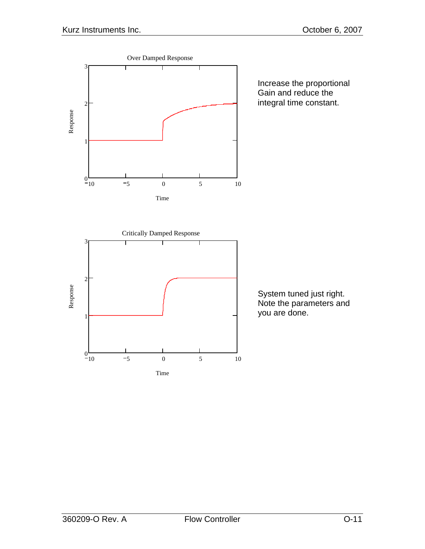

Increase the proportional Gain and reduce the integral time constant.



System tuned just right. Note the parameters and you are done.